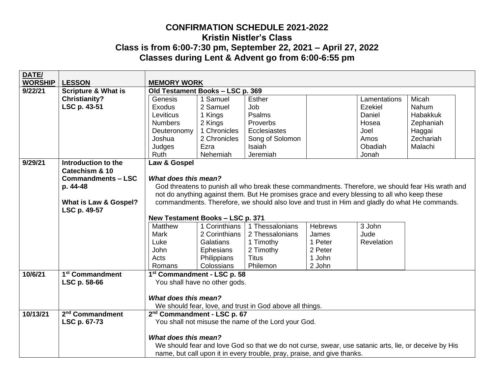## **CONFIRMATION SCHEDULE 2021-2022 Kristin Nistler's Class Class is from 6:00-7:30 pm, September 22, 2021 – April 27, 2022 Classes during Lent & Advent go from 6:00-6:55 pm**

| DATE/          |                                |                                                                                                      |                               |                                                                         |                |              |           |  |
|----------------|--------------------------------|------------------------------------------------------------------------------------------------------|-------------------------------|-------------------------------------------------------------------------|----------------|--------------|-----------|--|
| <b>WORSHIP</b> | <b>LESSON</b>                  | <b>MEMORY WORK</b>                                                                                   |                               |                                                                         |                |              |           |  |
| 9/22/21        | <b>Scripture &amp; What is</b> | Old Testament Books - LSC p. 369                                                                     |                               |                                                                         |                |              |           |  |
|                | <b>Christianity?</b>           | Genesis                                                                                              | 1 Samuel                      | Esther                                                                  |                | Lamentations | Micah     |  |
|                | LSC p. 43-51                   | Exodus                                                                                               | 2 Samuel                      | Job                                                                     |                | Ezekiel      | Nahum     |  |
|                |                                | Leviticus                                                                                            | 1 Kings                       | Psalms                                                                  |                | Daniel       | Habakkuk  |  |
|                |                                | <b>Numbers</b>                                                                                       | 2 Kings                       | Proverbs                                                                |                | Hosea        | Zephaniah |  |
|                |                                | Deuteronomy                                                                                          | 1 Chronicles                  | Ecclesiastes                                                            |                | Joel         | Haggai    |  |
|                |                                | Joshua                                                                                               | 2 Chronicles                  | Song of Solomon                                                         |                | Amos         | Zechariah |  |
|                |                                | Judges                                                                                               | Ezra                          | Isaiah                                                                  |                | Obadiah      | Malachi   |  |
|                |                                | Ruth                                                                                                 | Nehemiah                      | Jeremiah                                                                |                | Jonah        |           |  |
| 9/29/21        | Introduction to the            | Law & Gospel                                                                                         |                               |                                                                         |                |              |           |  |
|                | Catechism & 10                 |                                                                                                      |                               |                                                                         |                |              |           |  |
|                | <b>Commandments - LSC</b>      | What does this mean?                                                                                 |                               |                                                                         |                |              |           |  |
|                | p. 44-48                       | God threatens to punish all who break these commandments. Therefore, we should fear His wrath and    |                               |                                                                         |                |              |           |  |
|                |                                | not do anything against them. But He promises grace and every blessing to all who keep these         |                               |                                                                         |                |              |           |  |
|                | What is Law & Gospel?          | commandments. Therefore, we should also love and trust in Him and gladly do what He commands.        |                               |                                                                         |                |              |           |  |
|                | LSC p. 49-57                   |                                                                                                      |                               |                                                                         |                |              |           |  |
|                |                                | New Testament Books - LSC p. 371                                                                     |                               |                                                                         |                |              |           |  |
|                |                                | <b>Matthew</b>                                                                                       | 1 Corinthians                 | 1 Thessalonians                                                         | <b>Hebrews</b> | 3 John       |           |  |
|                |                                | <b>Mark</b>                                                                                          | 2 Corinthians                 | 2 Thessalonians                                                         | James          | Jude         |           |  |
|                |                                | Luke                                                                                                 | Galatians                     | 1 Timothy                                                               | 1 Peter        | Revelation   |           |  |
|                |                                | John                                                                                                 | Ephesians                     | 2 Timothy                                                               | 2 Peter        |              |           |  |
|                |                                | Acts                                                                                                 | Philippians                   | <b>Titus</b>                                                            | 1 John         |              |           |  |
|                |                                | Romans                                                                                               | Colossians                    | Philemon                                                                | 2 John         |              |           |  |
| 10/6/21        | 1 <sup>st</sup> Commandment    | 1st Commandment - LSC p. 58                                                                          |                               |                                                                         |                |              |           |  |
|                | LSC p. 58-66                   |                                                                                                      | You shall have no other gods. |                                                                         |                |              |           |  |
|                |                                |                                                                                                      |                               |                                                                         |                |              |           |  |
|                |                                | What does this mean?                                                                                 |                               |                                                                         |                |              |           |  |
|                |                                |                                                                                                      |                               | We should fear, love, and trust in God above all things.                |                |              |           |  |
| 10/13/21       | 2 <sup>nd</sup> Commandment    | 2 <sup>nd</sup> Commandment - LSC p. 67                                                              |                               |                                                                         |                |              |           |  |
|                | LSC p. 67-73                   | You shall not misuse the name of the Lord your God.                                                  |                               |                                                                         |                |              |           |  |
|                |                                |                                                                                                      |                               |                                                                         |                |              |           |  |
|                |                                | What does this mean?                                                                                 |                               |                                                                         |                |              |           |  |
|                |                                | We should fear and love God so that we do not curse, swear, use satanic arts, lie, or deceive by His |                               |                                                                         |                |              |           |  |
|                |                                |                                                                                                      |                               | name, but call upon it in every trouble, pray, praise, and give thanks. |                |              |           |  |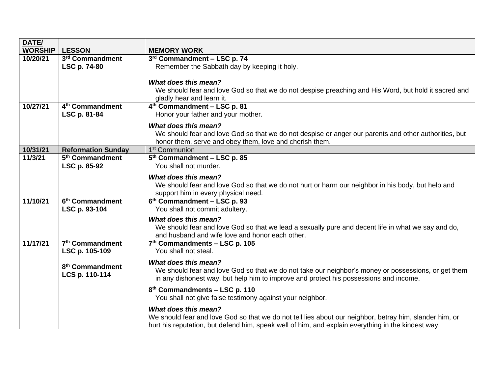| DATE/          |                             |                                                                                                         |
|----------------|-----------------------------|---------------------------------------------------------------------------------------------------------|
| <b>WORSHIP</b> | <b>LESSON</b>               | <b>MEMORY WORK</b>                                                                                      |
| 10/20/21       | 3rd Commandment             | 3rd Commandment - LSC p. 74                                                                             |
|                | LSC p. 74-80                | Remember the Sabbath day by keeping it holy.                                                            |
|                |                             |                                                                                                         |
|                |                             | What does this mean?                                                                                    |
|                |                             | We should fear and love God so that we do not despise preaching and His Word, but hold it sacred and    |
|                | 4 <sup>th</sup> Commandment | gladly hear and learn it.                                                                               |
| 10/27/21       |                             | 4 <sup>th</sup> Commandment - LSC p. 81                                                                 |
|                | LSC p. 81-84                | Honor your father and your mother.                                                                      |
|                |                             | What does this mean?                                                                                    |
|                |                             | We should fear and love God so that we do not despise or anger our parents and other authorities, but   |
|                |                             | honor them, serve and obey them, love and cherish them.                                                 |
| 10/31/21       | <b>Reformation Sunday</b>   | 1 <sup>st</sup> Communion                                                                               |
| 11/3/21        | 5 <sup>th</sup> Commandment | $5th$ Commandment – LSC p. 85                                                                           |
|                | LSC p. 85-92                | You shall not murder.                                                                                   |
|                |                             | <b>What does this mean?</b>                                                                             |
|                |                             | We should fear and love God so that we do not hurt or harm our neighbor in his body, but help and       |
|                |                             | support him in every physical need.                                                                     |
| 11/10/21       | 6 <sup>th</sup> Commandment | 6 <sup>th</sup> Commandment - LSC p. 93                                                                 |
|                | LSC p. 93-104               | You shall not commit adultery.                                                                          |
|                |                             | <b>What does this mean?</b>                                                                             |
|                |                             | We should fear and love God so that we lead a sexually pure and decent life in what we say and do,      |
|                |                             | and husband and wife love and honor each other.                                                         |
| 11/17/21       | 7 <sup>th</sup> Commandment | 7 <sup>th</sup> Commandments - LSC p. 105                                                               |
|                | LSC p. 105-109              | You shall not steal.                                                                                    |
|                |                             | <b>What does this mean?</b>                                                                             |
|                | 8 <sup>th</sup> Commandment | We should fear and love God so that we do not take our neighbor's money or possessions, or get them     |
|                | LCS p. 110-114              | in any dishonest way, but help him to improve and protect his possessions and income.                   |
|                |                             | 8 <sup>th</sup> Commandments - LSC p. 110                                                               |
|                |                             | You shall not give false testimony against your neighbor.                                               |
|                |                             |                                                                                                         |
|                |                             | <b>What does this mean?</b>                                                                             |
|                |                             | We should fear and love God so that we do not tell lies about our neighbor, betray him, slander him, or |
|                |                             | hurt his reputation, but defend him, speak well of him, and explain everything in the kindest way.      |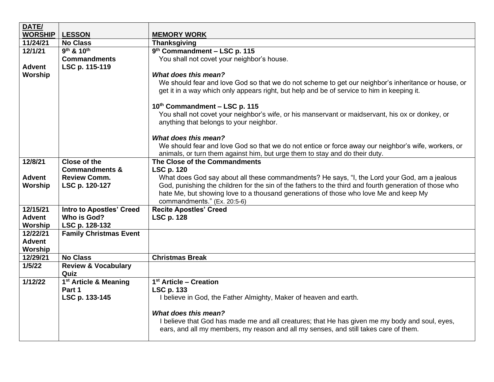| <b>WORSHIP</b><br><b>LESSON</b><br><b>MEMORY WORK</b><br>11/24/21<br><b>No Class</b><br><b>Thanksgiving</b><br>9 <sup>th</sup> & 10 <sup>th</sup><br>9 <sup>th</sup> Commandment - LSC p. 115<br>12/1/21<br><b>Commandments</b><br>You shall not covet your neighbor's house.<br><b>Advent</b><br>LSC p. 115-119<br>What does this mean?<br>Worship<br>We should fear and love God so that we do not scheme to get our neighbor's inheritance or house, or<br>get it in a way which only appears right, but help and be of service to him in keeping it.<br>10th Commandment - LSC p. 115<br>You shall not covet your neighbor's wife, or his manservant or maidservant, his ox or donkey, or<br>anything that belongs to your neighbor.<br>What does this mean?<br>We should fear and love God so that we do not entice or force away our neighbor's wife, workers, or<br>animals, or turn them against him, but urge them to stay and do their duty.<br>12/8/21<br><b>Close of the</b><br>The Close of the Commandments<br><b>LSC p. 120</b><br><b>Commandments &amp;</b><br><b>Advent</b><br>What does God say about all these commandments? He says, "I, the Lord your God, am a jealous<br><b>Review Comm.</b><br>God, punishing the children for the sin of the fathers to the third and fourth generation of those who<br>Worship<br>LSC p. 120-127<br>hate Me, but showing love to a thousand generations of those who love Me and keep My<br>commandments." (Ex. 20:5-6)<br>12/15/21<br><b>Recite Apostles' Creed</b><br><b>Intro to Apostles' Creed</b> |  |
|-------------------------------------------------------------------------------------------------------------------------------------------------------------------------------------------------------------------------------------------------------------------------------------------------------------------------------------------------------------------------------------------------------------------------------------------------------------------------------------------------------------------------------------------------------------------------------------------------------------------------------------------------------------------------------------------------------------------------------------------------------------------------------------------------------------------------------------------------------------------------------------------------------------------------------------------------------------------------------------------------------------------------------------------------------------------------------------------------------------------------------------------------------------------------------------------------------------------------------------------------------------------------------------------------------------------------------------------------------------------------------------------------------------------------------------------------------------------------------------------------------------------------------------------------------------------|--|
|                                                                                                                                                                                                                                                                                                                                                                                                                                                                                                                                                                                                                                                                                                                                                                                                                                                                                                                                                                                                                                                                                                                                                                                                                                                                                                                                                                                                                                                                                                                                                                   |  |
|                                                                                                                                                                                                                                                                                                                                                                                                                                                                                                                                                                                                                                                                                                                                                                                                                                                                                                                                                                                                                                                                                                                                                                                                                                                                                                                                                                                                                                                                                                                                                                   |  |
|                                                                                                                                                                                                                                                                                                                                                                                                                                                                                                                                                                                                                                                                                                                                                                                                                                                                                                                                                                                                                                                                                                                                                                                                                                                                                                                                                                                                                                                                                                                                                                   |  |
|                                                                                                                                                                                                                                                                                                                                                                                                                                                                                                                                                                                                                                                                                                                                                                                                                                                                                                                                                                                                                                                                                                                                                                                                                                                                                                                                                                                                                                                                                                                                                                   |  |
|                                                                                                                                                                                                                                                                                                                                                                                                                                                                                                                                                                                                                                                                                                                                                                                                                                                                                                                                                                                                                                                                                                                                                                                                                                                                                                                                                                                                                                                                                                                                                                   |  |
|                                                                                                                                                                                                                                                                                                                                                                                                                                                                                                                                                                                                                                                                                                                                                                                                                                                                                                                                                                                                                                                                                                                                                                                                                                                                                                                                                                                                                                                                                                                                                                   |  |
|                                                                                                                                                                                                                                                                                                                                                                                                                                                                                                                                                                                                                                                                                                                                                                                                                                                                                                                                                                                                                                                                                                                                                                                                                                                                                                                                                                                                                                                                                                                                                                   |  |
|                                                                                                                                                                                                                                                                                                                                                                                                                                                                                                                                                                                                                                                                                                                                                                                                                                                                                                                                                                                                                                                                                                                                                                                                                                                                                                                                                                                                                                                                                                                                                                   |  |
|                                                                                                                                                                                                                                                                                                                                                                                                                                                                                                                                                                                                                                                                                                                                                                                                                                                                                                                                                                                                                                                                                                                                                                                                                                                                                                                                                                                                                                                                                                                                                                   |  |
|                                                                                                                                                                                                                                                                                                                                                                                                                                                                                                                                                                                                                                                                                                                                                                                                                                                                                                                                                                                                                                                                                                                                                                                                                                                                                                                                                                                                                                                                                                                                                                   |  |
|                                                                                                                                                                                                                                                                                                                                                                                                                                                                                                                                                                                                                                                                                                                                                                                                                                                                                                                                                                                                                                                                                                                                                                                                                                                                                                                                                                                                                                                                                                                                                                   |  |
|                                                                                                                                                                                                                                                                                                                                                                                                                                                                                                                                                                                                                                                                                                                                                                                                                                                                                                                                                                                                                                                                                                                                                                                                                                                                                                                                                                                                                                                                                                                                                                   |  |
|                                                                                                                                                                                                                                                                                                                                                                                                                                                                                                                                                                                                                                                                                                                                                                                                                                                                                                                                                                                                                                                                                                                                                                                                                                                                                                                                                                                                                                                                                                                                                                   |  |
|                                                                                                                                                                                                                                                                                                                                                                                                                                                                                                                                                                                                                                                                                                                                                                                                                                                                                                                                                                                                                                                                                                                                                                                                                                                                                                                                                                                                                                                                                                                                                                   |  |
|                                                                                                                                                                                                                                                                                                                                                                                                                                                                                                                                                                                                                                                                                                                                                                                                                                                                                                                                                                                                                                                                                                                                                                                                                                                                                                                                                                                                                                                                                                                                                                   |  |
|                                                                                                                                                                                                                                                                                                                                                                                                                                                                                                                                                                                                                                                                                                                                                                                                                                                                                                                                                                                                                                                                                                                                                                                                                                                                                                                                                                                                                                                                                                                                                                   |  |
|                                                                                                                                                                                                                                                                                                                                                                                                                                                                                                                                                                                                                                                                                                                                                                                                                                                                                                                                                                                                                                                                                                                                                                                                                                                                                                                                                                                                                                                                                                                                                                   |  |
|                                                                                                                                                                                                                                                                                                                                                                                                                                                                                                                                                                                                                                                                                                                                                                                                                                                                                                                                                                                                                                                                                                                                                                                                                                                                                                                                                                                                                                                                                                                                                                   |  |
| <b>Advent</b><br>Who is God?<br><b>LSC p. 128</b>                                                                                                                                                                                                                                                                                                                                                                                                                                                                                                                                                                                                                                                                                                                                                                                                                                                                                                                                                                                                                                                                                                                                                                                                                                                                                                                                                                                                                                                                                                                 |  |
| Worship<br>LSC p. 128-132                                                                                                                                                                                                                                                                                                                                                                                                                                                                                                                                                                                                                                                                                                                                                                                                                                                                                                                                                                                                                                                                                                                                                                                                                                                                                                                                                                                                                                                                                                                                         |  |
| <b>Family Christmas Event</b><br>12/22/21                                                                                                                                                                                                                                                                                                                                                                                                                                                                                                                                                                                                                                                                                                                                                                                                                                                                                                                                                                                                                                                                                                                                                                                                                                                                                                                                                                                                                                                                                                                         |  |
| <b>Advent</b>                                                                                                                                                                                                                                                                                                                                                                                                                                                                                                                                                                                                                                                                                                                                                                                                                                                                                                                                                                                                                                                                                                                                                                                                                                                                                                                                                                                                                                                                                                                                                     |  |
| Worship                                                                                                                                                                                                                                                                                                                                                                                                                                                                                                                                                                                                                                                                                                                                                                                                                                                                                                                                                                                                                                                                                                                                                                                                                                                                                                                                                                                                                                                                                                                                                           |  |
| 12/29/21<br><b>No Class</b><br><b>Christmas Break</b>                                                                                                                                                                                                                                                                                                                                                                                                                                                                                                                                                                                                                                                                                                                                                                                                                                                                                                                                                                                                                                                                                                                                                                                                                                                                                                                                                                                                                                                                                                             |  |
| 1/5/22<br><b>Review &amp; Vocabulary</b>                                                                                                                                                                                                                                                                                                                                                                                                                                                                                                                                                                                                                                                                                                                                                                                                                                                                                                                                                                                                                                                                                                                                                                                                                                                                                                                                                                                                                                                                                                                          |  |
| Quiz                                                                                                                                                                                                                                                                                                                                                                                                                                                                                                                                                                                                                                                                                                                                                                                                                                                                                                                                                                                                                                                                                                                                                                                                                                                                                                                                                                                                                                                                                                                                                              |  |
| 1 <sup>st</sup> Article - Creation<br>1/12/22<br>1 <sup>st</sup> Article & Meaning                                                                                                                                                                                                                                                                                                                                                                                                                                                                                                                                                                                                                                                                                                                                                                                                                                                                                                                                                                                                                                                                                                                                                                                                                                                                                                                                                                                                                                                                                |  |
| Part 1<br><b>LSC p. 133</b>                                                                                                                                                                                                                                                                                                                                                                                                                                                                                                                                                                                                                                                                                                                                                                                                                                                                                                                                                                                                                                                                                                                                                                                                                                                                                                                                                                                                                                                                                                                                       |  |
| LSC p. 133-145<br>I believe in God, the Father Almighty, Maker of heaven and earth.                                                                                                                                                                                                                                                                                                                                                                                                                                                                                                                                                                                                                                                                                                                                                                                                                                                                                                                                                                                                                                                                                                                                                                                                                                                                                                                                                                                                                                                                               |  |
| <b>What does this mean?</b>                                                                                                                                                                                                                                                                                                                                                                                                                                                                                                                                                                                                                                                                                                                                                                                                                                                                                                                                                                                                                                                                                                                                                                                                                                                                                                                                                                                                                                                                                                                                       |  |
| I believe that God has made me and all creatures; that He has given me my body and soul, eyes,<br>ears, and all my members, my reason and all my senses, and still takes care of them.                                                                                                                                                                                                                                                                                                                                                                                                                                                                                                                                                                                                                                                                                                                                                                                                                                                                                                                                                                                                                                                                                                                                                                                                                                                                                                                                                                            |  |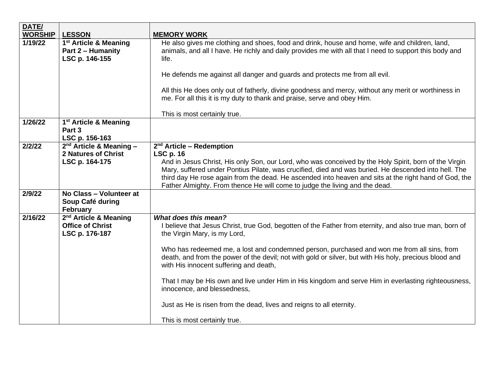| DATE/                     |                                                                                           |                                                                                                                                                                                                                                                                                                                                                                                                                                                                                                                                                                                                                                 |
|---------------------------|-------------------------------------------------------------------------------------------|---------------------------------------------------------------------------------------------------------------------------------------------------------------------------------------------------------------------------------------------------------------------------------------------------------------------------------------------------------------------------------------------------------------------------------------------------------------------------------------------------------------------------------------------------------------------------------------------------------------------------------|
| <b>WORSHIP</b><br>1/19/22 | <b>LESSON</b><br>1 <sup>st</sup> Article & Meaning<br>Part 2 - Humanity<br>LSC p. 146-155 | <b>MEMORY WORK</b><br>He also gives me clothing and shoes, food and drink, house and home, wife and children, land,<br>animals, and all I have. He richly and daily provides me with all that I need to support this body and<br>life.                                                                                                                                                                                                                                                                                                                                                                                          |
|                           |                                                                                           | He defends me against all danger and guards and protects me from all evil.                                                                                                                                                                                                                                                                                                                                                                                                                                                                                                                                                      |
|                           |                                                                                           | All this He does only out of fatherly, divine goodness and mercy, without any merit or worthiness in<br>me. For all this it is my duty to thank and praise, serve and obey Him.                                                                                                                                                                                                                                                                                                                                                                                                                                                 |
|                           |                                                                                           | This is most certainly true.                                                                                                                                                                                                                                                                                                                                                                                                                                                                                                                                                                                                    |
| 1/26/22                   | 1 <sup>st</sup> Article & Meaning<br>Part 3<br>LSC p. 156-163                             |                                                                                                                                                                                                                                                                                                                                                                                                                                                                                                                                                                                                                                 |
| 2/2/22                    | $2nd$ Article & Meaning -<br><b>2 Natures of Christ</b><br>LSC p. 164-175                 | 2 <sup>nd</sup> Article - Redemption<br><b>LSC p. 16</b><br>And in Jesus Christ, His only Son, our Lord, who was conceived by the Holy Spirit, born of the Virgin<br>Mary, suffered under Pontius Pilate, was crucified, died and was buried. He descended into hell. The<br>third day He rose again from the dead. He ascended into heaven and sits at the right hand of God, the<br>Father Almighty. From thence He will come to judge the living and the dead.                                                                                                                                                               |
| 2/9/22                    | No Class - Volunteer at<br>Soup Café during<br><b>February</b>                            |                                                                                                                                                                                                                                                                                                                                                                                                                                                                                                                                                                                                                                 |
| 2/16/22                   | 2 <sup>nd</sup> Article & Meaning<br><b>Office of Christ</b><br>LSC p. 176-187            | What does this mean?<br>I believe that Jesus Christ, true God, begotten of the Father from eternity, and also true man, born of<br>the Virgin Mary, is my Lord,<br>Who has redeemed me, a lost and condemned person, purchased and won me from all sins, from<br>death, and from the power of the devil; not with gold or silver, but with His holy, precious blood and<br>with His innocent suffering and death,<br>That I may be His own and live under Him in His kingdom and serve Him in everlasting righteousness,<br>innocence, and blessedness,<br>Just as He is risen from the dead, lives and reigns to all eternity. |
|                           |                                                                                           | This is most certainly true.                                                                                                                                                                                                                                                                                                                                                                                                                                                                                                                                                                                                    |